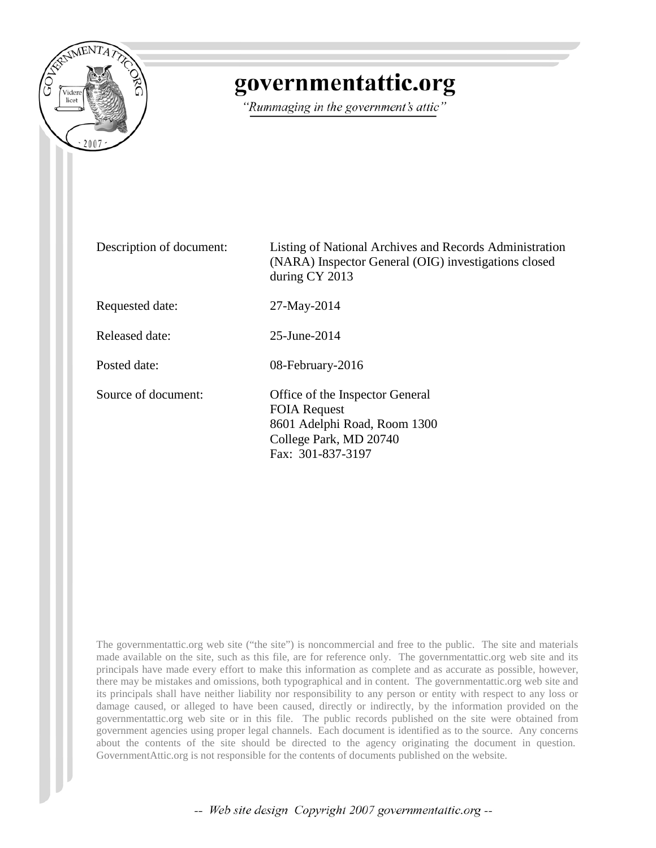

## governmentattic.org

"Rummaging in the government's attic"

Description of document: Listing of National Archives and Records Administration (NARA) Inspector General (OIG) investigations closed during CY 2013 Requested date: 27-May-2014 Released date: 25-June-2014 Posted date: 08-February-2016 Source of document: Office of the Inspector General FOIA Request 8601 Adelphi Road, Room 1300 College Park, MD 20740 Fax: 301-837-3197

The governmentattic.org web site ("the site") is noncommercial and free to the public. The site and materials made available on the site, such as this file, are for reference only. The governmentattic.org web site and its principals have made every effort to make this information as complete and as accurate as possible, however, there may be mistakes and omissions, both typographical and in content. The governmentattic.org web site and its principals shall have neither liability nor responsibility to any person or entity with respect to any loss or damage caused, or alleged to have been caused, directly or indirectly, by the information provided on the governmentattic.org web site or in this file. The public records published on the site were obtained from government agencies using proper legal channels. Each document is identified as to the source. Any concerns about the contents of the site should be directed to the agency originating the document in question. GovernmentAttic.org is not responsible for the contents of documents published on the website.

-- Web site design Copyright 2007 governmentattic.org --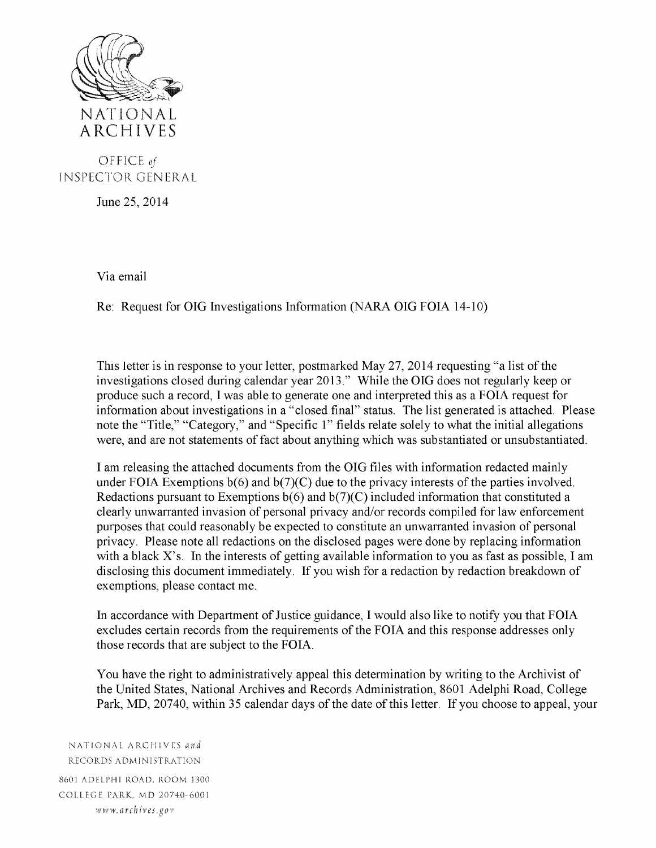

OFFICE *of*  INSPECTOR CENERAL

June 25, 2014

Via email

Re: Request for OIG Investigations Information (NARA OIG FOIA 14-10)

This letter is in response to your letter, postmarked May 27, 2014 requesting "a list of the investigations closed during calendar year 2013." While the OIG does not regularly keep or produce such a record, I was able to generate one and interpreted this as a FOIA request for information about investigations in a "closed final" status. The list generated is attached. Please note the "Title," "Category," and "Specific l" fields relate solely to what the initial allegations were, and are not statements of fact about anything which was substantiated or unsubstantiated.

I am releasing the attached documents from the OIG files with information redacted mainly under FOIA Exemptions  $b(6)$  and  $b(7)(C)$  due to the privacy interests of the parties involved. Redactions pursuant to Exemptions  $b(6)$  and  $b(7)(C)$  included information that constituted a clearly unwarranted invasion of personal privacy and/or records compiled for law enforcement purposes that could reasonably be expected to constitute an unwarranted invasion of personal privacy. Please note all redactions on the disclosed pages were done by replacing information with a black  $X$ 's. In the interests of getting available information to you as fast as possible, I am disclosing this document immediately. If you wish for a redaction by redaction breakdown of exemptions, please contact me.

In accordance with Department of Justice guidance, I would also like to notify you that FOIA excludes certain records from the requirements of the FOIA and this response addresses only those records that are subject to the FOIA.

You have the right to administratively appeal this determination by writing to the Archivist of the United States, National Archives and Records Administration, 8601 Adelphi Road, College Park, MD, 20740, within 35 calendar days of the date of this letter. If you choose to appeal, your

NATIONAL ARCHIVES *and* RECORDS ADMINISTRAT:ON 8601 ADELPHI ROAD, ROOM 1300 COLLEGE PARK. MD 20740-6001 www. *arch iv es .gov*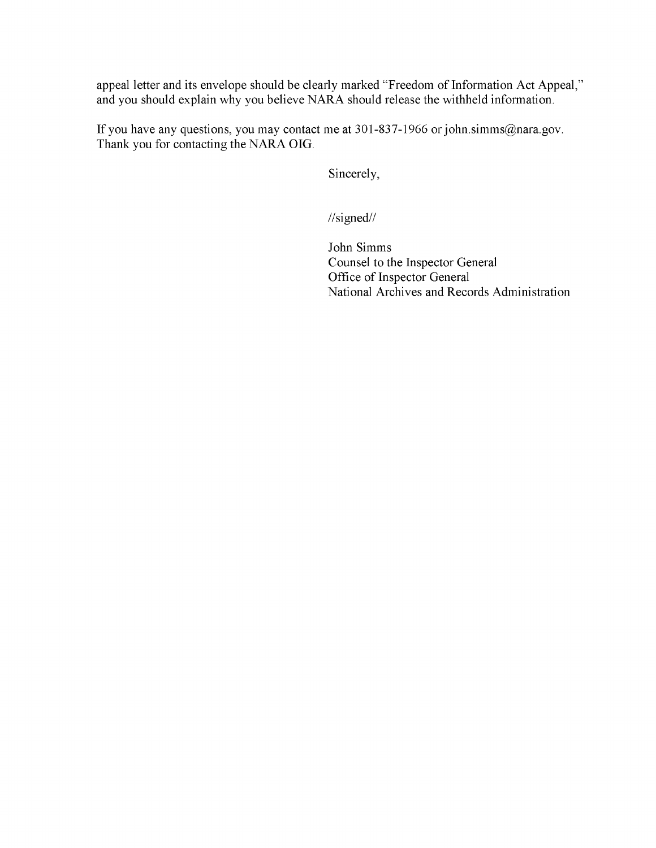appeal letter and its envelope should be clearly marked "Freedom of Information Act Appeal," and you should explain why you believe NARA should release the withheld information.

If you have any questions, you may contact me at 301-837-1966 or john.simms@nara.gov. Thank you for contacting the NARA OIG.

Sincerely,

//signed//

John Simms Counsel to the Inspector General Office of Inspector General National Archives and Records Administration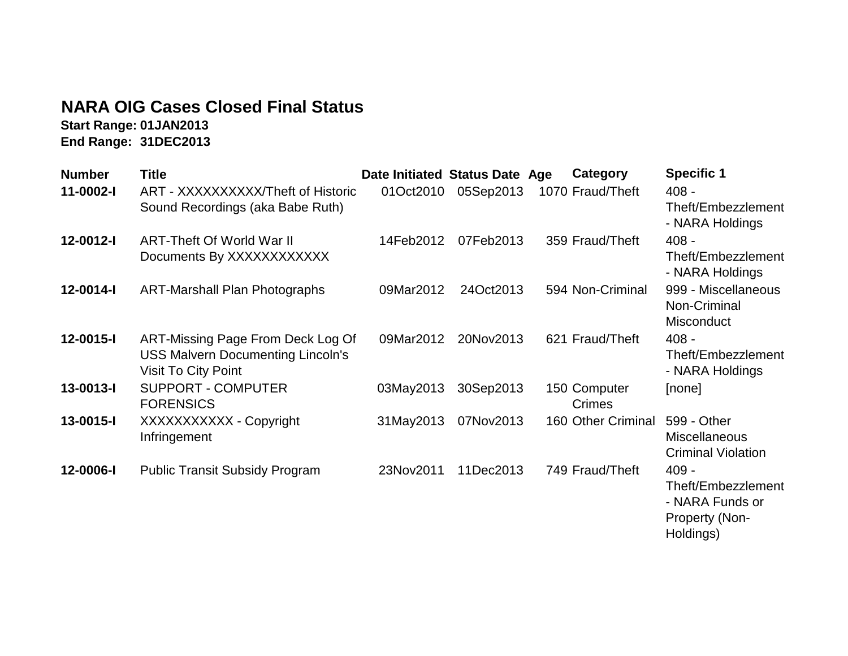## **NARA OIG Cases Closed Final Status**

**Start Range: 01JAN2013 End Range: 31DEC2013**

| <b>Number</b> | Title                                                                                                | Date Initiated Status Date Age |           |                        | Category           | <b>Specific 1</b>                                                                      |
|---------------|------------------------------------------------------------------------------------------------------|--------------------------------|-----------|------------------------|--------------------|----------------------------------------------------------------------------------------|
| 11-0002-I     | ART - XXXXXXXXXX/Theft of Historic                                                                   | 01Oct2010                      | 05Sep2013 | 1070 Fraud/Theft       |                    | $408 -$                                                                                |
|               | Sound Recordings (aka Babe Ruth)                                                                     |                                |           |                        |                    | Theft/Embezzlement                                                                     |
| 12-0012-I     | ART-Theft Of World War II                                                                            | 14Feb2012                      | 07Feb2013 | 359 Fraud/Theft        |                    | - NARA Holdings<br>$408 -$                                                             |
|               | Documents By XXXXXXXXXXX                                                                             |                                |           |                        |                    | Theft/Embezzlement<br>- NARA Holdings                                                  |
| 12-0014-I     | <b>ART-Marshall Plan Photographs</b>                                                                 | 09Mar2012                      | 24Oct2013 |                        | 594 Non-Criminal   | 999 - Miscellaneous<br>Non-Criminal<br>Misconduct                                      |
| 12-0015-I     | ART-Missing Page From Deck Log Of<br><b>USS Malvern Documenting Lincoln's</b><br>Visit To City Point | 09Mar2012                      | 20Nov2013 | 621 Fraud/Theft        |                    | $408 -$<br>Theft/Embezzlement<br>- NARA Holdings                                       |
| 13-0013-I     | <b>SUPPORT - COMPUTER</b><br><b>FORENSICS</b>                                                        | 03May2013                      | 30Sep2013 | 150 Computer<br>Crimes |                    | [none]                                                                                 |
| 13-0015-I     | XXXXXXXXXX - Copyright<br>Infringement                                                               | 31May2013                      | 07Nov2013 |                        | 160 Other Criminal | 599 - Other<br><b>Miscellaneous</b><br><b>Criminal Violation</b>                       |
| 12-0006-I     | <b>Public Transit Subsidy Program</b>                                                                | 23Nov2011                      | 11Dec2013 | 749 Fraud/Theft        |                    | $409 -$<br>Theft/Embezzlement<br>- NARA Funds or<br><b>Property (Non-</b><br>Holdings) |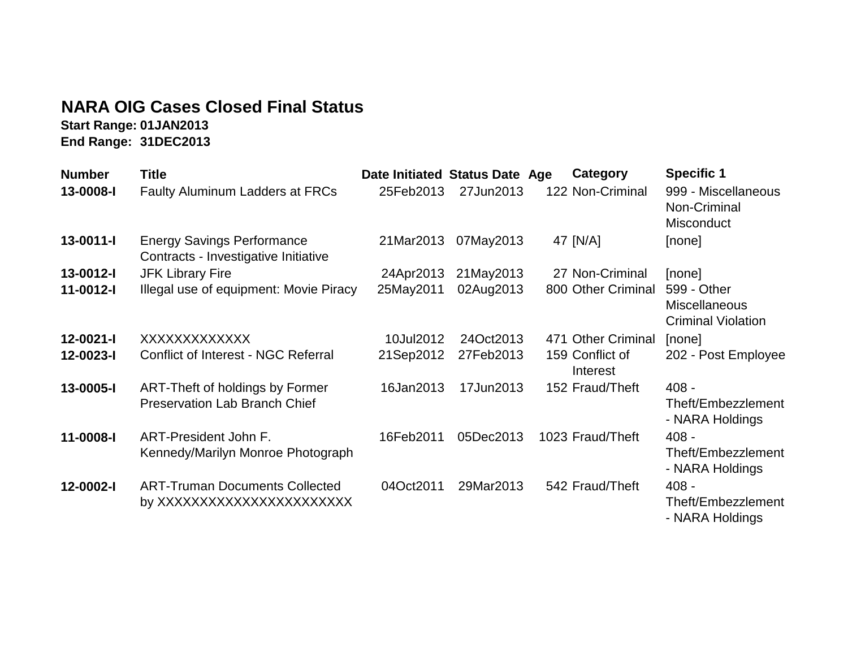## **NARA OIG Cases Closed Final Status**

**Start Range: 01JAN2013 End Range: 31DEC2013**

| <b>Number</b>   | Title                                                                     | Date Initiated Status Date Age |           | Category                    | <b>Specific 1</b>                                                |
|-----------------|---------------------------------------------------------------------------|--------------------------------|-----------|-----------------------------|------------------------------------------------------------------|
| 13-0008-I       | <b>Faulty Aluminum Ladders at FRCs</b>                                    | 25Feb2013                      | 27Jun2013 | 122 Non-Criminal            | 999 - Miscellaneous<br>Non-Criminal<br>Misconduct                |
| $13 - 0011 - 1$ | <b>Energy Savings Performance</b><br>Contracts - Investigative Initiative | 21Mar2013                      | 07May2013 | 47 [N/A]                    | [none]                                                           |
| 13-0012-I       | <b>JFK Library Fire</b>                                                   | 24Apr2013                      | 21May2013 | 27 Non-Criminal             | [none]                                                           |
| 11-0012-I       | Illegal use of equipment: Movie Piracy                                    | 25May2011                      | 02Aug2013 | 800 Other Criminal          | 599 - Other<br><b>Miscellaneous</b><br><b>Criminal Violation</b> |
| $12 - 0021 - 1$ | XXXXXXXXXXXX                                                              | 10Jul2012                      | 24Oct2013 | 471 Other Criminal          | [none]                                                           |
| 12-0023-I       | Conflict of Interest - NGC Referral                                       | 21Sep2012                      | 27Feb2013 | 159 Conflict of<br>Interest | 202 - Post Employee                                              |
| 13-0005-I       | ART-Theft of holdings by Former<br><b>Preservation Lab Branch Chief</b>   | 16Jan2013                      | 17Jun2013 | 152 Fraud/Theft             | $408 -$<br>Theft/Embezzlement<br>- NARA Holdings                 |
| 11-0008-I       | ART-President John F.<br>Kennedy/Marilyn Monroe Photograph                | 16Feb2011                      | 05Dec2013 | 1023 Fraud/Theft            | $408 -$<br>Theft/Embezzlement<br>- NARA Holdings                 |
| 12-0002-l       | <b>ART-Truman Documents Collected</b><br>by XXXXXXXXXXXXXXXXXXXXXX        | 04Oct2011                      | 29Mar2013 | 542 Fraud/Theft             | $408 -$<br>Theft/Embezzlement<br>- NARA Holdings                 |